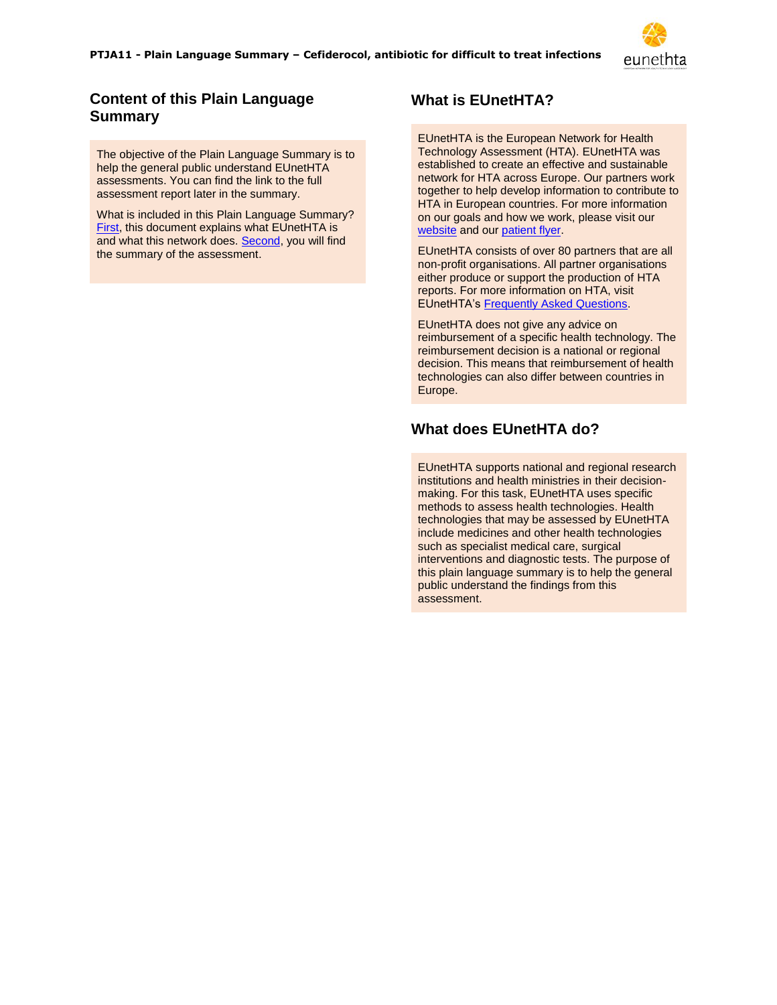

# **Content of this Plain Language Summary**

The objective of the Plain Language Summary is to help the general public understand EUnetHTA assessments. You can find the link to the full assessment report later in the summary.

<span id="page-0-0"></span>What is included in this Plain Language Summary? [First,](#page-0-0) this document explains what EUnetHTA is and what this network does. [Second,](#page-1-0) you will find the summary of the assessment.

# **What is EUnetHTA?**

EUnetHTA is the European Network for Health Technology Assessment (HTA). EUnetHTA was established to create an effective and sustainable network for HTA across Europe. Our partners work together to help develop information to contribute to HTA in European countries. For more information on our goals and how we work, please visit our [website](https://eunethta.eu/) and ou[r patient flyer.](https://eunethta.eu/wp-content/uploads/2020/01/Electronic-Flyer-Patients.pdf)

EUnetHTA consists of over 80 partners that are all non-profit organisations. All partner organisations either produce or support the production of HTA reports. For more information on HTA, visit EUnetHTA's [Frequently Asked Questions.](https://eunethta.eu/services/submission-guidelines/submissions-faq/)

EUnetHTA does not give any advice on reimbursement of a specific health technology. The reimbursement decision is a national or regional decision. This means that reimbursement of health technologies can also differ between countries in Europe.

# **What does EUnetHTA do?**

EUnetHTA supports national and regional research institutions and health ministries in their decisionmaking. For this task, EUnetHTA uses specific methods to assess health technologies. Health technologies that may be assessed by EUnetHTA include medicines and other health technologies such as specialist medical care, surgical interventions and diagnostic tests. The purpose of this plain language summary is to help the general public understand the findings from this assessment.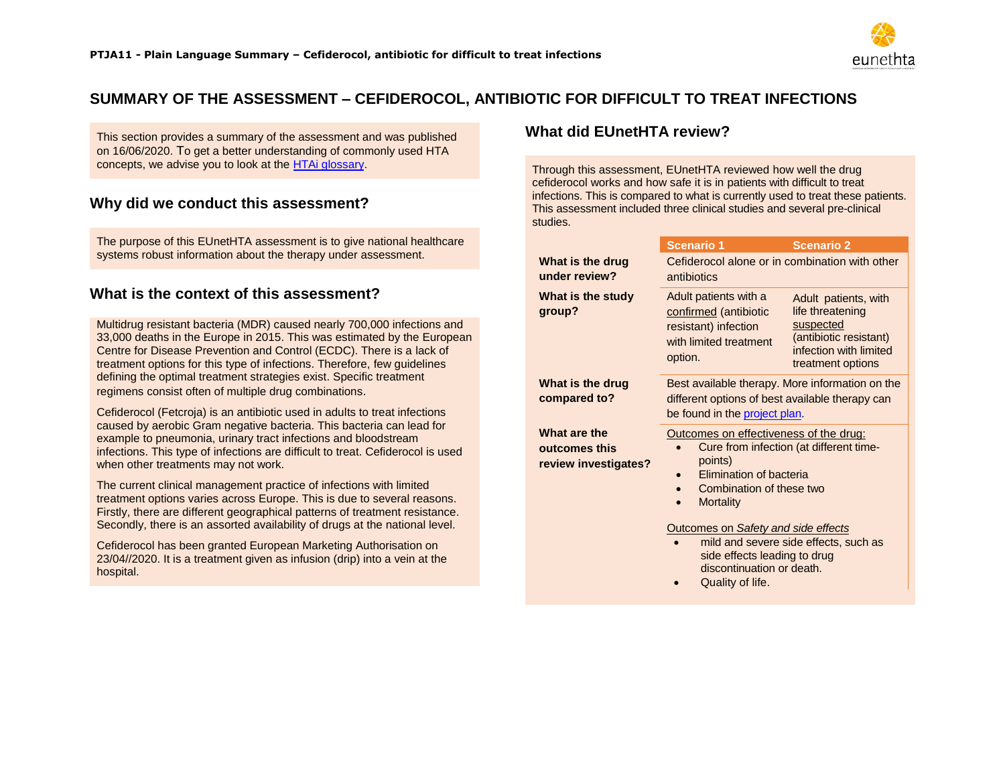

# **SUMMARY OF THE ASSESSMENT – CEFIDEROCOL, ANTIBIOTIC FOR DIFFICULT TO TREAT INFECTIONS**

This section provides a summary of the assessment and was published on 16/06/2020. To get a better understanding of commonly used HTA concepts, we advise you to look at the [HTAi glossary.](https://htai.org/wp-content/uploads/2018/02/HTAiPatientAndConsumerGlossaryOctober2009_01.pdf)

## **Why did we conduct this assessment?**

The purpose of this EUnetHTA assessment is to give national healthcare systems robust information about the therapy under assessment.

#### **What is the context of this assessment?**

<span id="page-1-0"></span>Multidrug resistant bacteria (MDR) caused nearly 700,000 infections and 33,000 deaths in the Europe in 2015. This was estimated by the European Centre for Disease Prevention and Control (ECDC). There is a lack of treatment options for this type of infections. Therefore, few guidelines defining the optimal treatment strategies exist. Specific treatment regimens consist often of multiple drug combinations.

Cefiderocol (Fetcroja) is an antibiotic used in adults to treat infections caused by aerobic Gram negative bacteria. This bacteria can lead for example to pneumonia, urinary tract infections and bloodstream infections. This type of infections are difficult to treat. Cefiderocol is used when other treatments may not work.

The current clinical management practice of infections with limited treatment options varies across Europe. This is due to several reasons. Firstly, there are different geographical patterns of treatment resistance. Secondly, there is an assorted availability of drugs at the national level.

Cefiderocol has been granted European Marketing Authorisation on 23/04//2020. It is a treatment given as infusion (drip) into a vein at the hospital.

### **What did EUnetHTA review?**

Through this assessment, EUnetHTA reviewed how well the drug cefiderocol works and how safe it is in patients with difficult to treat infections. This is compared to what is currently used to treat these patients. This assessment included three clinical studies and several pre-clinical studies.

|                                                       | <b>Scenario 1</b>                                                                                                                                                       | <b>Scenario 2</b>                                                                                                              |
|-------------------------------------------------------|-------------------------------------------------------------------------------------------------------------------------------------------------------------------------|--------------------------------------------------------------------------------------------------------------------------------|
| What is the drug<br>under review?                     | Cefiderocol alone or in combination with other<br>antibiotics                                                                                                           |                                                                                                                                |
| What is the study<br>group?                           | Adult patients with a<br>confirmed (antibiotic<br>resistant) infection<br>with limited treatment<br>option.                                                             | Adult patients, with<br>life threatening<br>suspected<br>(antibiotic resistant)<br>infection with limited<br>treatment options |
| What is the drug<br>compared to?                      | Best available therapy. More information on the<br>different options of best available therapy can<br>be found in the project plan.                                     |                                                                                                                                |
| What are the<br>outcomes this<br>review investigates? | Outcomes on effectiveness of the drug:<br>Cure from infection (at different time-<br>points)<br>Elimination of bacteria<br>Combination of these two<br><b>Mortality</b> |                                                                                                                                |
|                                                       | Outcomes on Safety and side effects<br>mild and severe side effects, such as                                                                                            |                                                                                                                                |

- side effects leading to drug discontinuation or death.
- Quality of life.